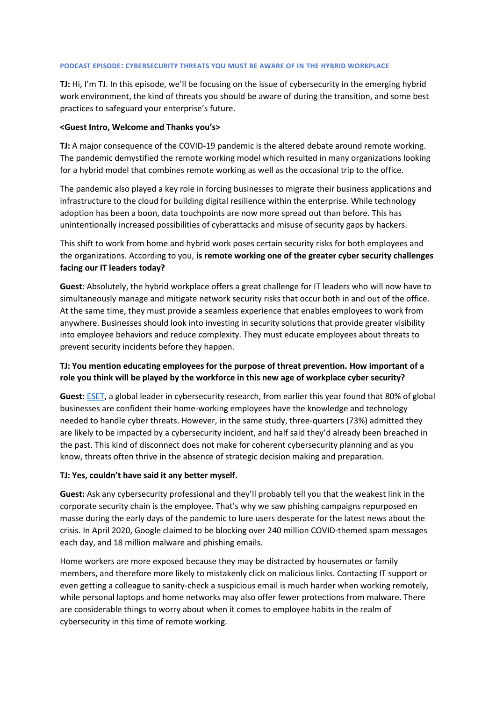#### **PODCAST EPISODE: CYBERSECURITY THREATS YOU MUST BE AWARE OF IN THE HYBRID WORKPLACE**

**TJ:** Hi, I'm TJ. In this episode, we'll be focusing on the issue of cybersecurity in the emerging hybrid work environment, the kind of threats you should be aware of during the transition, and some best practices to safeguard your enterprise's future.

#### **<Guest Intro, Welcome and Thanks you's>**

**TJ:** A major consequence of the COVID-19 pandemic is the altered debate around remote working. The pandemic demystified the remote working model which resulted in many organizations looking for a hybrid model that combines remote working as well as the occasional trip to the office.

The pandemic also played a key role in forcing businesses to migrate their business applications and infrastructure to the cloud for building digital resilience within the enterprise. While technology adoption has been a boon, data touchpoints are now more spread out than before. This has unintentionally increased possibilities of cyberattacks and misuse of security gaps by hackers.

This shift to work from home and hybrid work poses certain security risks for both employees and the organizations. According to you, **is remote working one of the greater cyber security challenges facing our IT leaders today?**

**Guest**: Absolutely, the hybrid workplace offers a great challenge for IT leaders who will now have to simultaneously manage and mitigate network security risks that occur both in and out of the office. At the same time, they must provide a seamless experience that enables employees to work from anywhere. Businesses should look into investing in security solutions that provide greater visibility into employee behaviors and reduce complexity. They must educate employees about threats to prevent security incidents before they happen.

## **TJ: You mention educating employees for the purpose of threat prevention. How important of a role you think will be played by the workforce in this new age of workplace cyber security?**

**Guest:** [ESET,](https://www.eset.com/int/about/newsroom/press-releases/research/80-of-businesses-worldwide-are-confident-their-remote-employees-have-the-knowledge-to-mitigate-cybe/) a global leader in cybersecurity research, from earlier this year found that 80% of global businesses are confident their home-working employees have the knowledge and technology needed to handle cyber threats. However, in the same study, three-quarters (73%) admitted they are likely to be impacted by a cybersecurity incident, and half said they'd already been breached in the past. This kind of disconnect does not make for coherent cybersecurity planning and as you know, threats often thrive in the absence of strategic decision making and preparation.

### **TJ: Yes, couldn't have said it any better myself.**

**Guest:** Ask any cybersecurity professional and they'll probably tell you that the weakest link in the corporate security chain is the employee. That's why we saw phishing campaigns repurposed en masse during the early days of the pandemic to lure users desperate for the latest news about the crisis. In April 2020, Google claimed to be blocking over 240 million COVID-themed spam messages each day, and 18 million malware and phishing emails.

Home workers are more exposed because they may be distracted by housemates or family members, and therefore more likely to mistakenly click on malicious links. Contacting IT support or even getting a colleague to sanity-check a suspicious email is much harder when working remotely, while personal laptops and home networks may also offer fewer protections from malware. There are considerable things to worry about when it comes to employee habits in the realm of cybersecurity in this time of remote working.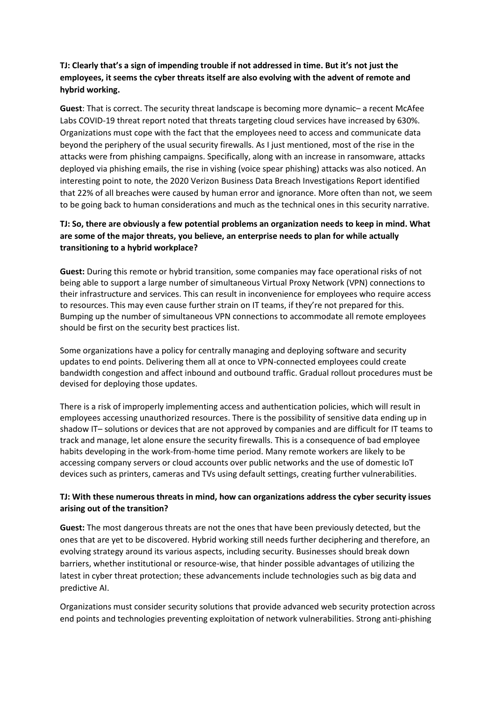# **TJ: Clearly that's a sign of impending trouble if not addressed in time. But it's not just the employees, it seems the cyber threats itself are also evolving with the advent of remote and hybrid working.**

**Guest**: That is correct. The security threat landscape is becoming more dynamic– a recent McAfee Labs COVID-19 threat report noted that threats targeting cloud services have increased by 630%. Organizations must cope with the fact that the employees need to access and communicate data beyond the periphery of the usual security firewalls. As I just mentioned, most of the rise in the attacks were from phishing campaigns. Specifically, along with an increase in ransomware, attacks deployed via phishing emails, the rise in vishing (voice spear phishing) attacks was also noticed. An interesting point to note, the 2020 Verizon Business Data Breach Investigations Report identified that 22% of all breaches were caused by human error and ignorance. More often than not, we seem to be going back to human considerations and much as the technical ones in this security narrative.

# **TJ: So, there are obviously a few potential problems an organization needs to keep in mind. What are some of the major threats, you believe, an enterprise needs to plan for while actually transitioning to a hybrid workplace?**

**Guest:** During this remote or hybrid transition, some companies may face operational risks of not being able to support a large number of simultaneous Virtual Proxy Network (VPN) connections to their infrastructure and services. This can result in inconvenience for employees who require access to resources. This may even cause further strain on IT teams, if they're not prepared for this. Bumping up the number of simultaneous VPN connections to accommodate all remote employees should be first on the security best practices list.

Some organizations have a policy for centrally managing and deploying software and security updates to end points. Delivering them all at once to VPN-connected employees could create bandwidth congestion and affect inbound and outbound traffic. Gradual rollout procedures must be devised for deploying those updates.

There is a risk of improperly implementing access and authentication policies, which will result in employees accessing unauthorized resources. There is the possibility of sensitive data ending up in shadow IT– solutions or devices that are not approved by companies and are difficult for IT teams to track and manage, let alone ensure the security firewalls. This is a consequence of bad employee habits developing in the work-from-home time period. Many remote workers are likely to be accessing company servers or cloud accounts over public networks and the use of domestic IoT devices such as printers, cameras and TVs using default settings, creating further vulnerabilities.

## **TJ: With these numerous threats in mind, how can organizations address the cyber security issues arising out of the transition?**

**Guest:** The most dangerous threats are not the ones that have been previously detected, but the ones that are yet to be discovered. Hybrid working still needs further deciphering and therefore, an evolving strategy around its various aspects, including security. Businesses should break down barriers, whether institutional or resource-wise, that hinder possible advantages of utilizing the latest in cyber threat protection; these advancements include technologies such as big data and predictive AI.

Organizations must consider security solutions that provide advanced web security protection across end points and technologies preventing exploitation of network vulnerabilities. Strong anti-phishing